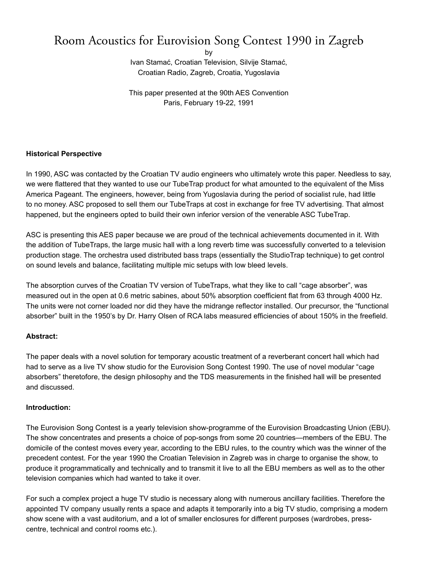# Room Acoustics for Eurovision Song Contest 1990 in Zagreb

by

Ivan Stamać, Croatian Television, Silvije Stamać, Croatian Radio, Zagreb, Croatia, Yugoslavia

This paper presented at the 90th AES Convention Paris, February 19-22, 1991

## **Historical Perspective**

In 1990, ASC was contacted by the Croatian TV audio engineers who ultimately wrote this paper. Needless to say, we were flattered that they wanted to use our TubeTrap product for what amounted to the equivalent of the Miss America Pageant. The engineers, however, being from Yugoslavia during the period of socialist rule, had little to no money. ASC proposed to sell them our TubeTraps at cost in exchange for free TV advertising. That almost happened, but the engineers opted to build their own inferior version of the venerable ASC TubeTrap.

ASC is presenting this AES paper because we are proud of the technical achievements documented in it. With the addition of TubeTraps, the large music hall with a long reverb time was successfully converted to a television production stage. The orchestra used distributed bass traps (essentially the StudioTrap technique) to get control on sound levels and balance, facilitating multiple mic setups with low bleed levels.

The absorption curves of the Croatian TV version of TubeTraps, what they like to call "cage absorber", was measured out in the open at 0.6 metric sabines, about 50% absorption coefficient flat from 63 through 4000 Hz. The units were not corner loaded nor did they have the midrange reflector installed. Our precursor, the "functional absorber" built in the 1950's by Dr. Harry Olsen of RCA labs measured efficiencies of about 150% in the freefield.

#### **Abstract:**

The paper deals with a novel solution for temporary acoustic treatment of a reverberant concert hall which had had to serve as a live TV show studio for the Eurovision Song Contest 1990. The use of novel modular "cage absorbers" theretofore, the design philosophy and the TDS measurements in the finished hall will be presented and discussed.

#### **Introduction:**

The Eurovision Song Contest is a yearly television show-programme of the Eurovision Broadcasting Union (EBU). The show concentrates and presents a choice of pop-songs from some 20 countries—members of the EBU. The domicile of the contest moves every year, according to the EBU rules, to the country which was the winner of the precedent contest. For the year 1990 the Croatian Television in Zagreb was in charge to organise the show, to produce it programmatically and technically and to transmit it live to all the EBU members as well as to the other television companies which had wanted to take it over.

For such a complex project a huge TV studio is necessary along with numerous ancillary facilities. Therefore the appointed TV company usually rents a space and adapts it temporarily into a big TV studio, comprising a modern show scene with a vast auditorium, and a lot of smaller enclosures for different purposes (wardrobes, presscentre, technical and control rooms etc.).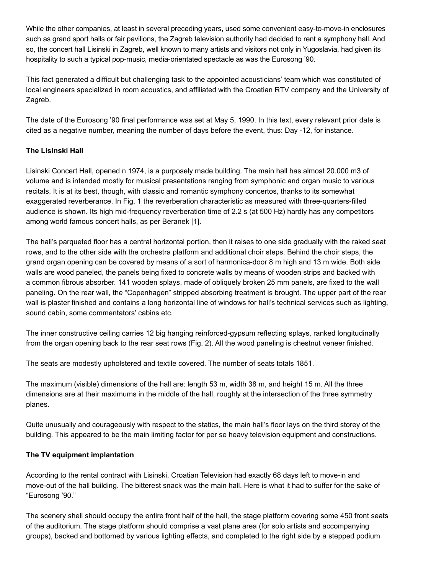While the other companies, at least in several preceding years, used some convenient easy-to-move-in enclosures such as grand sport halls or fair pavilions, the Zagreb television authority had decided to rent a symphony hall. And so, the concert hall Lisinski in Zagreb, well known to many artists and visitors not only in Yugoslavia, had given its hospitality to such a typical pop-music, media-orientated spectacle as was the Eurosong '90.

This fact generated a difficult but challenging task to the appointed acousticians' team which was constituted of local engineers specialized in room acoustics, and affiliated with the Croatian RTV company and the University of Zagreb.

The date of the Eurosong '90 final performance was set at May 5, 1990. In this text, every relevant prior date is cited as a negative number, meaning the number of days before the event, thus: Day -12, for instance.

## **The Lisinski Hall**

Lisinski Concert Hall, opened n 1974, is a purposely made building. The main hall has almost 20.000 m3 of volume and is intended mostly for musical presentations ranging from symphonic and organ music to various recitals. It is at its best, though, with classic and romantic symphony concertos, thanks to its somewhat exaggerated reverberance. In Fig. 1 the reverberation characteristic as measured with three-quarters-filled audience is shown. Its high mid-frequency reverberation time of 2.2 s (at 500 Hz) hardly has any competitors among world famous concert halls, as per Beranek [1].

The hall's parqueted floor has a central horizontal portion, then it raises to one side gradually with the raked seat rows, and to the other side with the orchestra platform and additional choir steps. Behind the choir steps, the grand organ opening can be covered by means of a sort of harmonica-door 8 m high and 13 m wide. Both side walls are wood paneled, the panels being fixed to concrete walls by means of wooden strips and backed with a common fibrous absorber. 141 wooden splays, made of obliquely broken 25 mm panels, are fixed to the wall paneling. On the rear wall, the "Copenhagen" stripped absorbing treatment is brought. The upper part of the rear wall is plaster finished and contains a long horizontal line of windows for hall's technical services such as lighting, sound cabin, some commentators' cabins etc.

The inner constructive ceiling carries 12 big hanging reinforced-gypsum reflecting splays, ranked longitudinally from the organ opening back to the rear seat rows (Fig. 2). All the wood paneling is chestnut veneer finished.

The seats are modestly upholstered and textile covered. The number of seats totals 1851.

The maximum (visible) dimensions of the hall are: length 53 m, width 38 m, and height 15 m. All the three dimensions are at their maximums in the middle of the hall, roughly at the intersection of the three symmetry planes.

Quite unusually and courageously with respect to the statics, the main hall's floor lays on the third storey of the building. This appeared to be the main limiting factor for per se heavy television equipment and constructions.

#### **The TV equipment implantation**

According to the rental contract with Lisinski, Croatian Television had exactly 68 days left to move-in and move-out of the hall building. The bitterest snack was the main hall. Here is what it had to suffer for the sake of "Eurosong '90."

The scenery shell should occupy the entire front half of the hall, the stage platform covering some 450 front seats of the auditorium. The stage platform should comprise a vast plane area (for solo artists and accompanying groups), backed and bottomed by various lighting effects, and completed to the right side by a stepped podium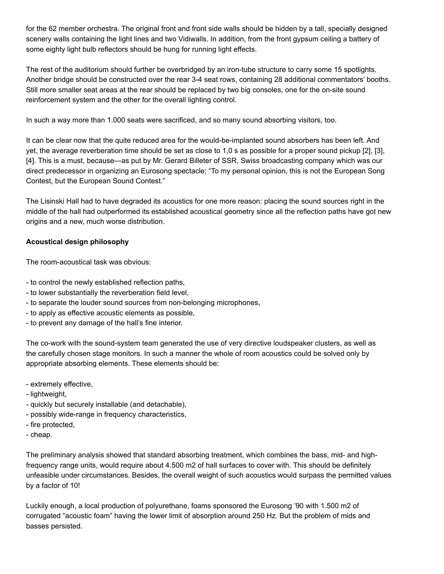for the 62 member orchestra. The original front and front side walls should be hidden by a tall, specially designed scenery walls containing the light lines and two Vidiwalls. In addition, from the front gypsum ceiling a battery of some eighty light bulb reflectors should be hung for running light effects.

The rest of the auditorium should further be overbridged by an iron-tube structure to carry some 15 spotlights. Another bridge should be constructed over the rear 3-4 seat rows, containing 28 additional commentators' booths. Still more smaller seat areas at the rear should be replaced by two big consoles, one for the on-site sound reinforcement system and the other for the overall lighting control.

In such a way more than 1.000 seats were sacrificed, and so many sound absorbing visitors, too.

It can be clear now that the quite reduced area for the would-be-implanted sound absorbers has been left. And yet, the average reverberation time should be set as close to 1,0 s as possible for a proper sound pickup [2], [3], [4]. This is a must, because—as put by Mr. Gerard Billeter of SSR, Swiss broadcasting company which was our direct predecessor in organizing an Eurosong spectacle: "To my personal opinion, this is not the European Song Contest, but the European Sound Contest."

The Lisinski Hall had to have degraded its acoustics for one more reason: placing the sound sources right in the middle of the hall had outperformed its established acoustical geometry since all the reflection paths have got new origins and a new, much worse distribution.

# **Acoustical design philosophy**

The room-acoustical task was obvious:

- to control the newly established reflection paths,
- to lower substantially the reverberation field level,
- to separate the louder sound sources from non-belonging microphones,
- to apply as effective acoustic elements as possible,
- to prevent any damage of the hall's fine interior.

The co-work with the sound-system team generated the use of very directive loudspeaker clusters, as well as the carefully chosen stage monitors. In such a manner the whole of room acoustics could be solved only by appropriate absorbing elements. These elements should be:

- extremely effective,
- lightweight,
- quickly but securely installable (and detachable),
- possibly wide-range in frequency characteristics,
- fire protected,
- cheap.

The preliminary analysis showed that standard absorbing treatment, which combines the bass, mid- and highfrequency range units, would require about 4.500 m2 of hall surfaces to cover with. This should be definitely unfeasible under circumstances. Besides, the overall weight of such acoustics would surpass the permitted values by a factor of 10!

Luckily enough, a local production of polyurethane, foams sponsored the Eurosong '90 with 1.500 m2 of corrugated "acoustic foam" having the lower limit of absorption around 250 Hz. But the problem of mids and basses persisted.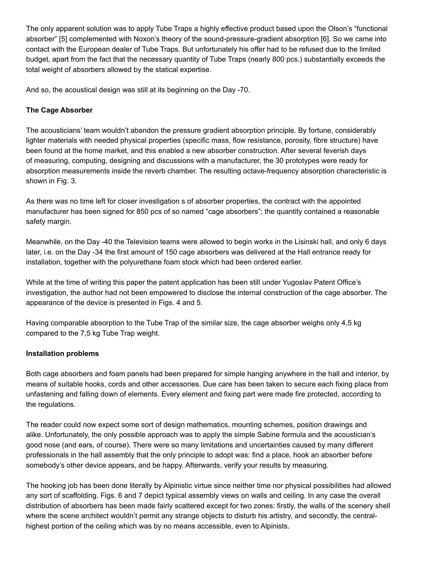The only apparent solution was to apply Tube Traps a highly effective product based upon the Olson's "functional absorber" [5] complemented with Noxon's theory of the sound-pressure-gradient absorption [6]. So we came into contact with the European dealer of Tube Traps. But unfortunately his offer had to be refused due to the limited budget, apart from the fact that the necessary quantity of Tube Traps (nearly 800 pcs.) substantially exceeds the total weight of absorbers allowed by the statical expertise.

And so, the acoustical design was still at its beginning on the Day -70.

# **The Cage Absorber**

The acousticians' team wouldn't abandon the pressure gradient absorption principle. By fortune, considerably lighter materials with needed physical properties (specific mass, flow resistance, porosity, fibre structure) have been found at the home market, and this enabled a new absorber construction. After several feverish days of measuring, computing, designing and discussions with a manufacturer, the 30 prototypes were ready for absorption measurements inside the reverb chamber. The resulting octave-frequency absorption characteristic is shown in Fig. 3.

As there was no time left for closer investigation s of absorber properties, the contract with the appointed manufacturer has been signed for 850 pcs of so named "cage absorbers"; the quantity contained a reasonable safety margin.

Meanwhile, on the Day -40 the Television teams were allowed to begin works in the Lisinski hall, and only 6 days later, i.e. on the Day -34 the first amount of 150 cage absorbers was delivered at the Hall entrance ready for installation, together with the polyurethane foam stock which had been ordered earlier.

While at the time of writing this paper the patent application has been still under Yugoslav Patent Office's investigation, the author had not been empowered to disclose the internal construction of the cage absorber. The appearance of the device is presented in Figs. 4 and 5.

Having comparable absorption to the Tube Trap of the similar size, the cage absorber weighs only 4,5 kg compared to the 7,5 kg Tube Trap weight.

#### **Installation problems**

Both cage absorbers and foam panels had been prepared for simple hanging anywhere in the hall and interior, by means of suitable hooks, cords and other accessories. Due care has been taken to secure each fixing place from unfastening and falling down of elements. Every element and fixing part were made fire protected, according to the regulations.

The reader could now expect some sort of design mathematics, mounting schemes, position drawings and alike. Unfortunately, the only possible approach was to apply the simple Sabine formula and the acoustician's good nose (and ears, of course). There were so many limitations and uncertainties caused by many different professionals in the hall assembly that the only principle to adopt was: find a place, hook an absorber before somebody's other device appears, and be happy. Afterwards, verify your results by measuring.

The hooking job has been done literally by Alpinistic virtue since neither time nor physical possibilities had allowed any sort of scaffolding. Figs. 6 and 7 depict typical assembly views on walls and ceiling. In any case the overall distribution of absorbers has been made fairly scattered except for two zones: firstly, the walls of the scenery shell where the scene architect wouldn't permit any strange objects to disturb his artistry, and secondly, the centralhighest portion of the ceiling which was by no means accessible, even to Alpinists.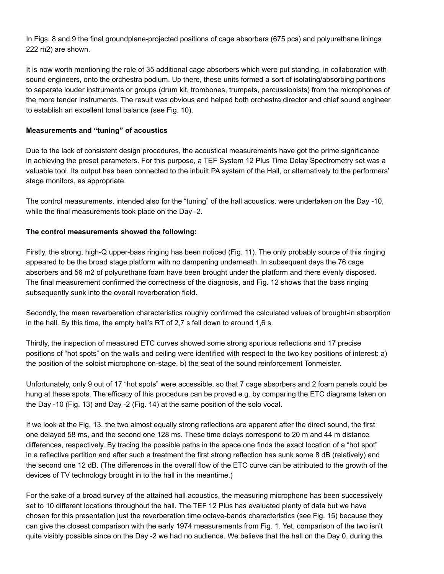In Figs. 8 and 9 the final groundplane-projected positions of cage absorbers (675 pcs) and polyurethane linings 222 m2) are shown.

It is now worth mentioning the role of 35 additional cage absorbers which were put standing, in collaboration with sound engineers, onto the orchestra podium. Up there, these units formed a sort of isolating/absorbing partitions to separate louder instruments or groups (drum kit, trombones, trumpets, percussionists) from the microphones of the more tender instruments. The result was obvious and helped both orchestra director and chief sound engineer to establish an excellent tonal balance (see Fig. 10).

## **Measurements and "tuning" of acoustics**

Due to the lack of consistent design procedures, the acoustical measurements have got the prime significance in achieving the preset parameters. For this purpose, a TEF System 12 Plus Time Delay Spectrometry set was a valuable tool. Its output has been connected to the inbuilt PA system of the Hall, or alternatively to the performers' stage monitors, as appropriate.

The control measurements, intended also for the "tuning" of the hall acoustics, were undertaken on the Day -10, while the final measurements took place on the Day -2.

## **The control measurements showed the following:**

Firstly, the strong, high-Q upper-bass ringing has been noticed (Fig. 11). The only probably source of this ringing appeared to be the broad stage platform with no dampening underneath. In subsequent days the 76 cage absorbers and 56 m2 of polyurethane foam have been brought under the platform and there evenly disposed. The final measurement confirmed the correctness of the diagnosis, and Fig. 12 shows that the bass ringing subsequently sunk into the overall reverberation field.

Secondly, the mean reverberation characteristics roughly confirmed the calculated values of brought-in absorption in the hall. By this time, the empty hall's RT of 2,7 s fell down to around 1,6 s.

Thirdly, the inspection of measured ETC curves showed some strong spurious reflections and 17 precise positions of "hot spots" on the walls and ceiling were identified with respect to the two key positions of interest: a) the position of the soloist microphone on-stage, b) the seat of the sound reinforcement Tonmeister.

Unfortunately, only 9 out of 17 "hot spots" were accessible, so that 7 cage absorbers and 2 foam panels could be hung at these spots. The efficacy of this procedure can be proved e.g. by comparing the ETC diagrams taken on the Day -10 (Fig. 13) and Day -2 (Fig. 14) at the same position of the solo vocal.

If we look at the Fig. 13, the two almost equally strong reflections are apparent after the direct sound, the first one delayed 58 ms, and the second one 128 ms. These time delays correspond to 20 m and 44 m distance differences, respectively. By tracing the possible paths in the space one finds the exact location of a "hot spot" in a reflective partition and after such a treatment the first strong reflection has sunk some 8 dB (relatively) and the second one 12 dB. (The differences in the overall flow of the ETC curve can be attributed to the growth of the devices of TV technology brought in to the hall in the meantime.)

For the sake of a broad survey of the attained hall acoustics, the measuring microphone has been successively set to 10 different locations throughout the hall. The TEF 12 Plus has evaluated plenty of data but we have chosen for this presentation just the reverberation time octave-bands characteristics (see Fig. 15) because they can give the closest comparison with the early 1974 measurements from Fig. 1. Yet, comparison of the two isn't quite visibly possible since on the Day -2 we had no audience. We believe that the hall on the Day 0, during the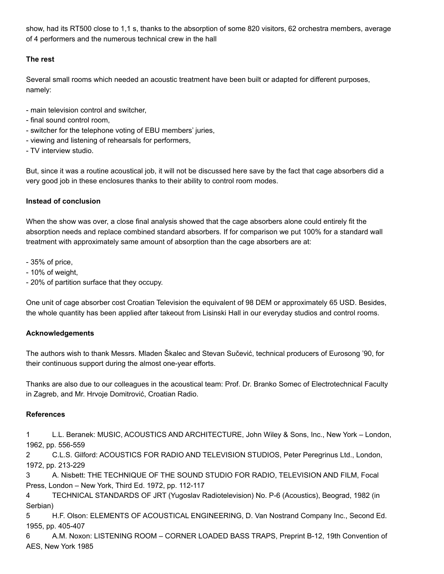show, had its RT500 close to 1,1 s, thanks to the absorption of some 820 visitors, 62 orchestra members, average of 4 performers and the numerous technical crew in the hall

# **The rest**

Several small rooms which needed an acoustic treatment have been built or adapted for different purposes, namely:

- main television control and switcher,
- final sound control room,
- switcher for the telephone voting of EBU members' juries,
- viewing and listening of rehearsals for performers,
- TV interview studio.

But, since it was a routine acoustical job, it will not be discussed here save by the fact that cage absorbers did a very good job in these enclosures thanks to their ability to control room modes.

# **Instead of conclusion**

When the show was over, a close final analysis showed that the cage absorbers alone could entirely fit the absorption needs and replace combined standard absorbers. If for comparison we put 100% for a standard wall treatment with approximately same amount of absorption than the cage absorbers are at:

- 35% of price,
- 10% of weight,
- 20% of partition surface that they occupy.

One unit of cage absorber cost Croatian Television the equivalent of 98 DEM or approximately 65 USD. Besides, the whole quantity has been applied after takeout from Lisinski Hall in our everyday studios and control rooms.

# **Acknowledgements**

The authors wish to thank Messrs. Mladen Škalec and Stevan Sučević, technical producers of Eurosong '90, for their continuous support during the almost one-year efforts.

Thanks are also due to our colleagues in the acoustical team: Prof. Dr. Branko Somec of Electrotechnical Faculty in Zagreb, and Mr. Hrvoje Domitrović, Croatian Radio.

# **References**

1 L.L. Beranek: MUSIC, ACOUSTICS AND ARCHITECTURE, John Wiley & Sons, Inc., New York – London, 1962, pp. 556-559

2 C.L.S. Gilford: ACOUSTICS FOR RADIO AND TELEVISION STUDIOS, Peter Peregrinus Ltd., London, 1972, pp. 213-229

3 A. Nisbett: THE TECHNIQUE OF THE SOUND STUDIO FOR RADIO, TELEVISION AND FILM, Focal Press, London – New York, Third Ed. 1972, pp. 112-117

4 TECHNICAL STANDARDS OF JRT (Yugoslav Radiotelevision) No. P-6 (Acoustics), Beograd, 1982 (in Serbian)

5 H.F. Olson: ELEMENTS OF ACOUSTICAL ENGINEERING, D. Van Nostrand Company Inc., Second Ed. 1955, pp. 405-407

6 A.M. Noxon: LISTENING ROOM – CORNER LOADED BASS TRAPS, Preprint B-12, 19th Convention of AES, New York 1985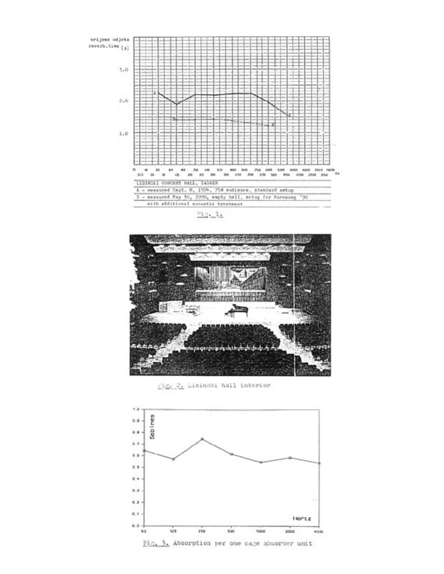vrijeme odjeka reverb.time (a)



 $m_1, 1$ 



Lig. 2. Lisinski hall interior

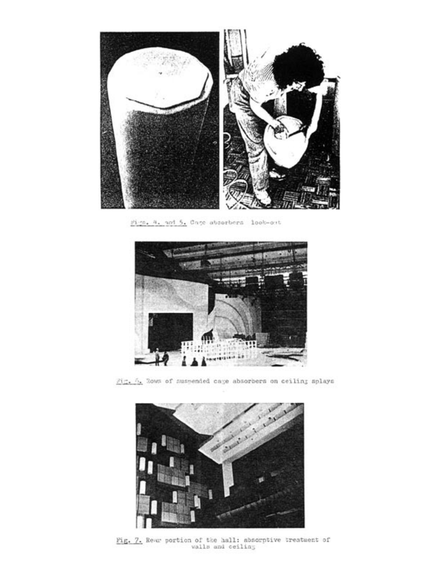

Figs. 4. and 5. Cage absorbers look-out



 $\overline{\beta_1^2, \beta_2^2}$  Rows of suspended cage absorbers on ceiling splays



 $\underline{\texttt{Fig. 7.}}$  Rear portion of the hall: absorptive treatment of walls and ceiling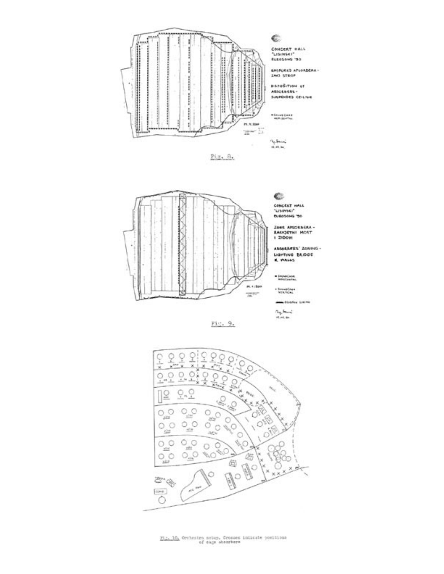





- Smudday<br>- YEK/YON: -Charles Links  $\frac{\partial_{\mathbf{q}_i} \mathbf{h}_{\text{max}}}{\partial_{\mathbf{q}_i} \mathbf{h}_{\text{max}}}$ Fig. 9. ò ò O,



 $\underline{p(\underline{z}_1,\underline{10}_2)}$  declestra setup, Grosses inizate positions of eage absorbers